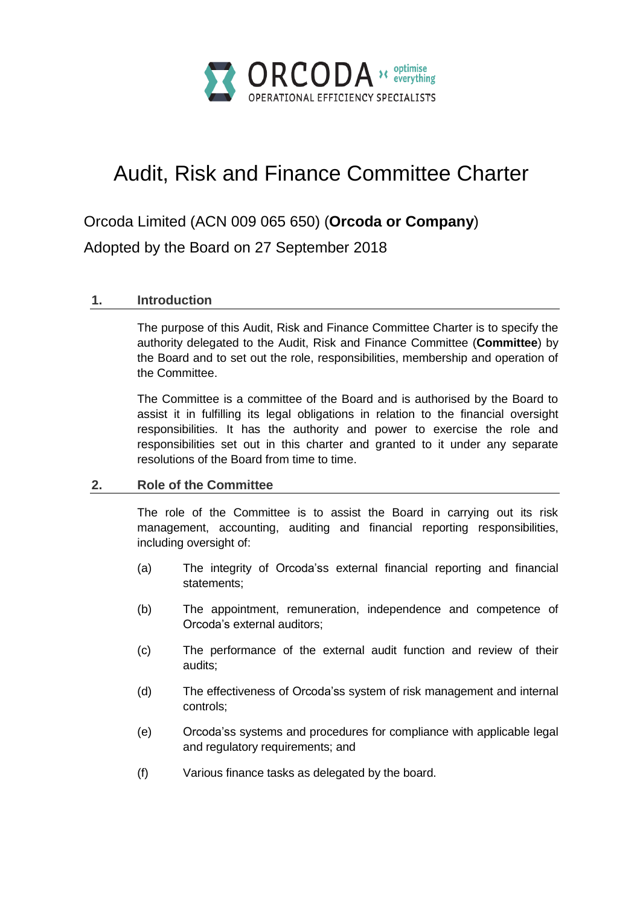

# Audit, Risk and Finance Committee Charter

Orcoda Limited (ACN 009 065 650) (**Orcoda or Company**)

Adopted by the Board on 27 September 2018

# **1. Introduction**

The purpose of this Audit, Risk and Finance Committee Charter is to specify the authority delegated to the Audit, Risk and Finance Committee (**Committee**) by the Board and to set out the role, responsibilities, membership and operation of the Committee.

The Committee is a committee of the Board and is authorised by the Board to assist it in fulfilling its legal obligations in relation to the financial oversight responsibilities. It has the authority and power to exercise the role and responsibilities set out in this charter and granted to it under any separate resolutions of the Board from time to time.

# **2. Role of the Committee**

The role of the Committee is to assist the Board in carrying out its risk management, accounting, auditing and financial reporting responsibilities, including oversight of:

- (a) The integrity of Orcoda'ss external financial reporting and financial statements;
- (b) The appointment, remuneration, independence and competence of Orcoda's external auditors;
- (c) The performance of the external audit function and review of their audits;
- (d) The effectiveness of Orcoda'ss system of risk management and internal controls;
- (e) Orcoda'ss systems and procedures for compliance with applicable legal and regulatory requirements; and
- (f) Various finance tasks as delegated by the board.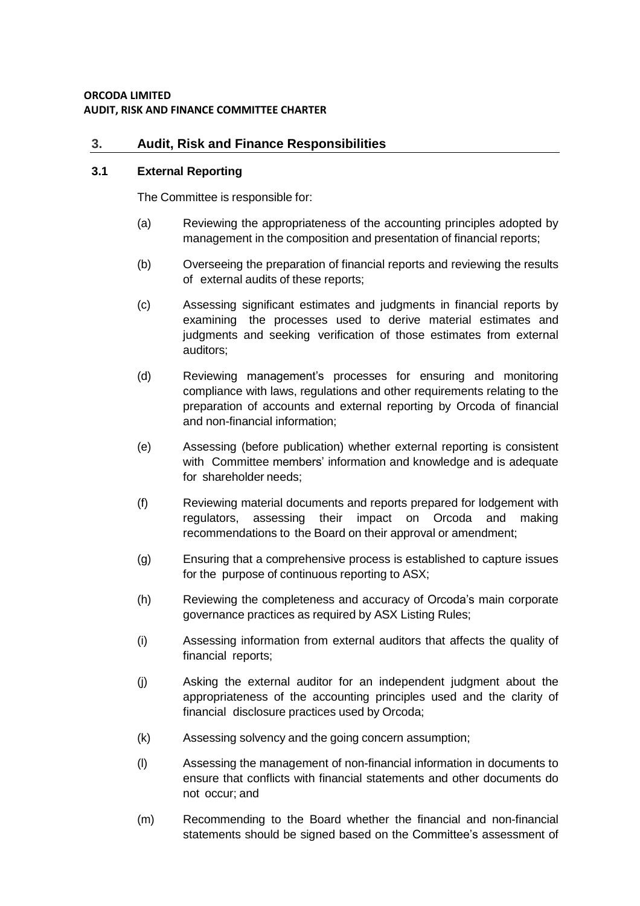# **3. Audit, Risk and Finance Responsibilities**

## **3.1 External Reporting**

The Committee is responsible for:

- (a) Reviewing the appropriateness of the accounting principles adopted by management in the composition and presentation of financial reports;
- (b) Overseeing the preparation of financial reports and reviewing the results of external audits of these reports;
- (c) Assessing significant estimates and judgments in financial reports by examining the processes used to derive material estimates and judgments and seeking verification of those estimates from external auditors;
- (d) Reviewing management's processes for ensuring and monitoring compliance with laws, regulations and other requirements relating to the preparation of accounts and external reporting by Orcoda of financial and non-financial information;
- (e) Assessing (before publication) whether external reporting is consistent with Committee members' information and knowledge and is adequate for shareholder needs;
- (f) Reviewing material documents and reports prepared for lodgement with regulators, assessing their impact on Orcoda and making recommendations to the Board on their approval or amendment;
- (g) Ensuring that a comprehensive process is established to capture issues for the purpose of continuous reporting to ASX;
- (h) Reviewing the completeness and accuracy of Orcoda's main corporate governance practices as required by ASX Listing Rules;
- (i) Assessing information from external auditors that affects the quality of financial reports;
- (j) Asking the external auditor for an independent judgment about the appropriateness of the accounting principles used and the clarity of financial disclosure practices used by Orcoda;
- (k) Assessing solvency and the going concern assumption;
- (l) Assessing the management of non-financial information in documents to ensure that conflicts with financial statements and other documents do not occur; and
- (m) Recommending to the Board whether the financial and non-financial statements should be signed based on the Committee's assessment of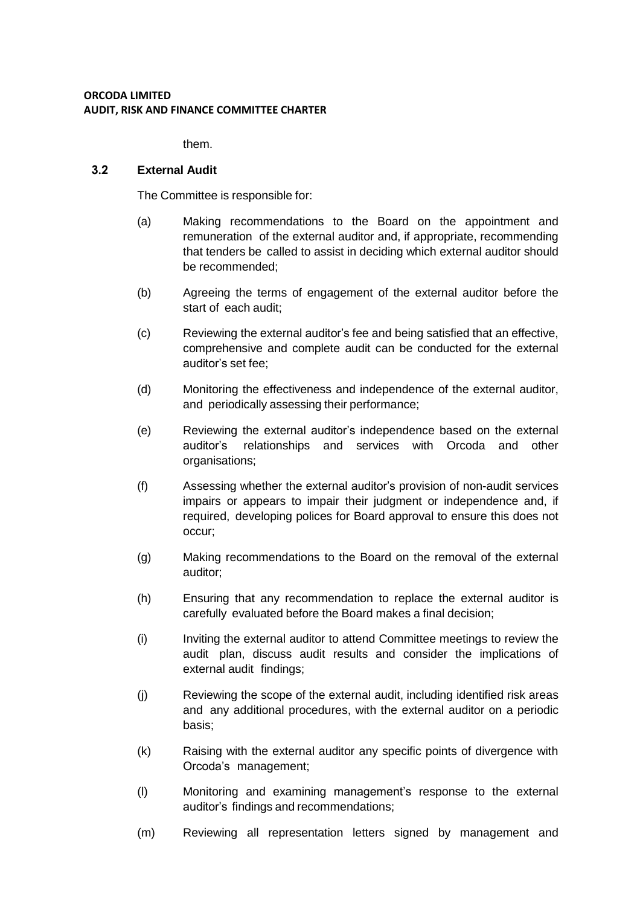them.

# **3.2 External Audit**

The Committee is responsible for:

- (a) Making recommendations to the Board on the appointment and remuneration of the external auditor and, if appropriate, recommending that tenders be called to assist in deciding which external auditor should be recommended;
- (b) Agreeing the terms of engagement of the external auditor before the start of each audit;
- (c) Reviewing the external auditor's fee and being satisfied that an effective, comprehensive and complete audit can be conducted for the external auditor's set fee;
- (d) Monitoring the effectiveness and independence of the external auditor, and periodically assessing their performance;
- (e) Reviewing the external auditor's independence based on the external auditor's relationships and services with Orcoda and other organisations;
- (f) Assessing whether the external auditor's provision of non-audit services impairs or appears to impair their judgment or independence and, if required, developing polices for Board approval to ensure this does not occur;
- (g) Making recommendations to the Board on the removal of the external auditor;
- (h) Ensuring that any recommendation to replace the external auditor is carefully evaluated before the Board makes a final decision;
- (i) Inviting the external auditor to attend Committee meetings to review the audit plan, discuss audit results and consider the implications of external audit findings;
- (j) Reviewing the scope of the external audit, including identified risk areas and any additional procedures, with the external auditor on a periodic basis;
- (k) Raising with the external auditor any specific points of divergence with Orcoda's management;
- (l) Monitoring and examining management's response to the external auditor's findings and recommendations;
- (m) Reviewing all representation letters signed by management and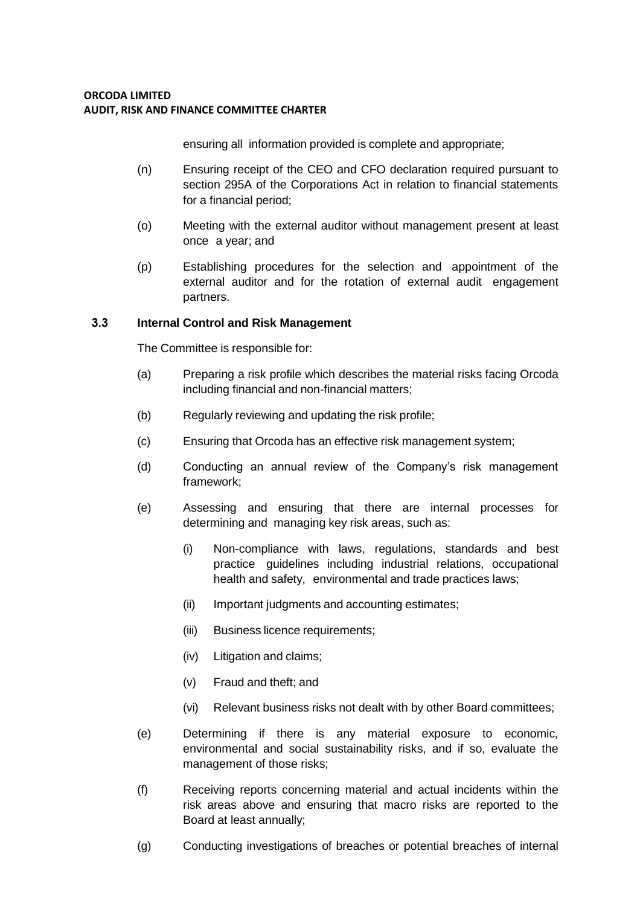ensuring all information provided is complete and appropriate;

- (n) Ensuring receipt of the CEO and CFO declaration required pursuant to section 295A of the Corporations Act in relation to financial statements for a financial period;
- (o) Meeting with the external auditor without management present at least once a year; and
- (p) Establishing procedures for the selection and appointment of the external auditor and for the rotation of external audit engagement partners.

## **3.3 Internal Control and Risk Management**

The Committee is responsible for:

- (a) Preparing a risk profile which describes the material risks facing Orcoda including financial and non-financial matters;
- (b) Regularly reviewing and updating the risk profile;
- (c) Ensuring that Orcoda has an effective risk management system;
- (d) Conducting an annual review of the Company's risk management framework;
- (e) Assessing and ensuring that there are internal processes for determining and managing key risk areas, such as:
	- (i) Non-compliance with laws, regulations, standards and best practice guidelines including industrial relations, occupational health and safety, environmental and trade practices laws;
	- (ii) Important judgments and accounting estimates;
	- (iii) Business licence requirements;
	- (iv) Litigation and claims;
	- (v) Fraud and theft; and
	- (vi) Relevant business risks not dealt with by other Board committees;
- (e) Determining if there is any material exposure to economic, environmental and social sustainability risks, and if so, evaluate the management of those risks;
- (f) Receiving reports concerning material and actual incidents within the risk areas above and ensuring that macro risks are reported to the Board at least annually;
- (g) Conducting investigations of breaches or potential breaches of internal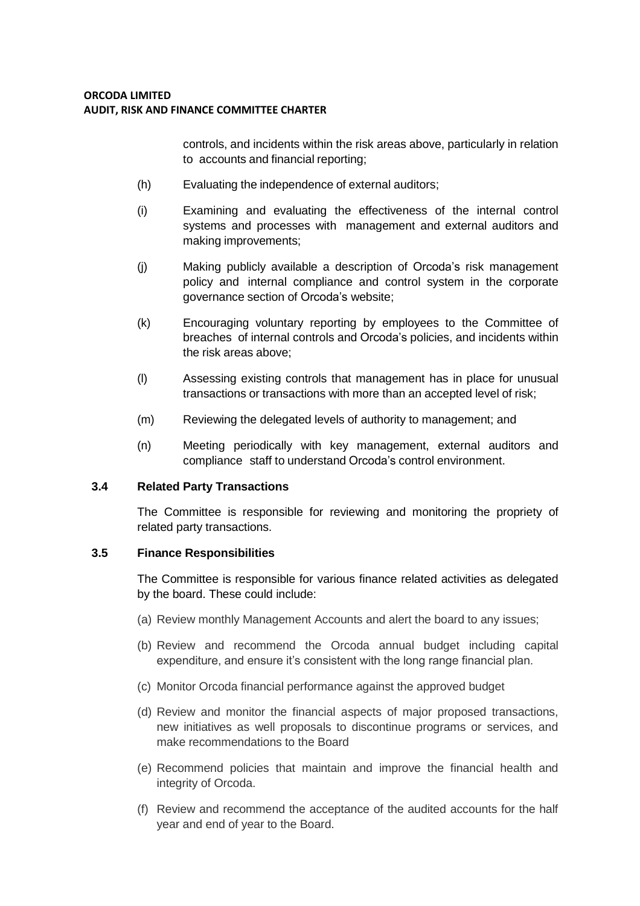controls, and incidents within the risk areas above, particularly in relation to accounts and financial reporting;

- (h) Evaluating the independence of external auditors;
- (i) Examining and evaluating the effectiveness of the internal control systems and processes with management and external auditors and making improvements;
- (j) Making publicly available a description of Orcoda's risk management policy and internal compliance and control system in the corporate governance section of Orcoda's website;
- (k) Encouraging voluntary reporting by employees to the Committee of breaches of internal controls and Orcoda's policies, and incidents within the risk areas above;
- (l) Assessing existing controls that management has in place for unusual transactions or transactions with more than an accepted level of risk;
- (m) Reviewing the delegated levels of authority to management; and
- (n) Meeting periodically with key management, external auditors and compliance staff to understand Orcoda's control environment.

#### **3.4 Related Party Transactions**

The Committee is responsible for reviewing and monitoring the propriety of related party transactions.

#### **3.5 Finance Responsibilities**

The Committee is responsible for various finance related activities as delegated by the board. These could include:

- (a) Review monthly Management Accounts and alert the board to any issues;
- (b) Review and recommend the Orcoda annual budget including capital expenditure, and ensure it's consistent with the long range financial plan.
- (c) Monitor Orcoda financial performance against the approved budget
- (d) Review and monitor the financial aspects of major proposed transactions, new initiatives as well proposals to discontinue programs or services, and make recommendations to the Board
- (e) Recommend policies that maintain and improve the financial health and integrity of Orcoda.
- (f) Review and recommend the acceptance of the audited accounts for the half year and end of year to the Board.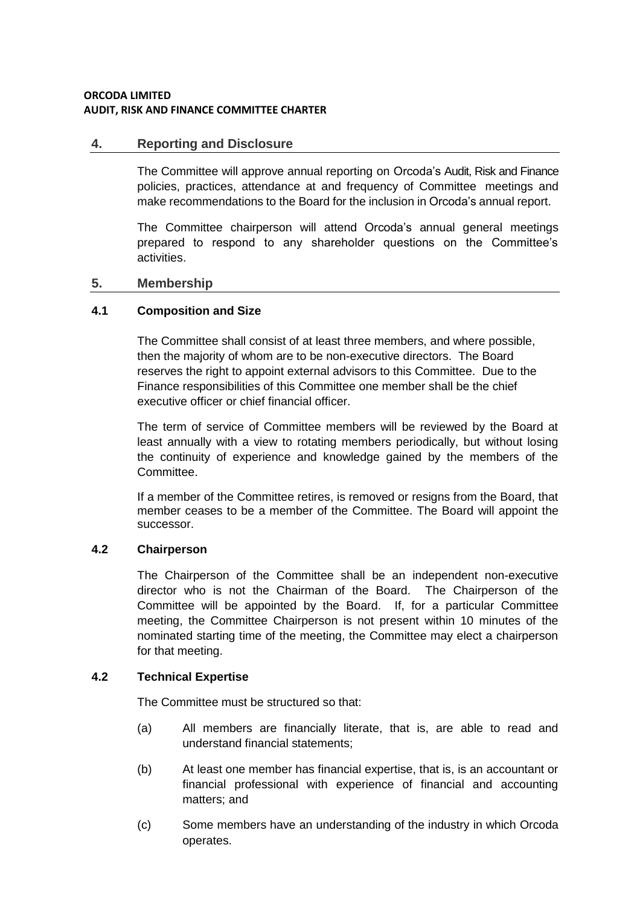# **4. Reporting and Disclosure**

The Committee will approve annual reporting on Orcoda's Audit, Risk and Finance policies, practices, attendance at and frequency of Committee meetings and make recommendations to the Board for the inclusion in Orcoda's annual report.

The Committee chairperson will attend Orcoda's annual general meetings prepared to respond to any shareholder questions on the Committee's activities.

## **5. Membership**

# **4.1 Composition and Size**

The Committee shall consist of at least three members, and where possible, then the majority of whom are to be non-executive directors. The Board reserves the right to appoint external advisors to this Committee. Due to the Finance responsibilities of this Committee one member shall be the chief executive officer or chief financial officer.

The term of service of Committee members will be reviewed by the Board at least annually with a view to rotating members periodically, but without losing the continuity of experience and knowledge gained by the members of the Committee.

If a member of the Committee retires, is removed or resigns from the Board, that member ceases to be a member of the Committee. The Board will appoint the successor.

# **4.2 Chairperson**

The Chairperson of the Committee shall be an independent non-executive director who is not the Chairman of the Board. The Chairperson of the Committee will be appointed by the Board. If, for a particular Committee meeting, the Committee Chairperson is not present within 10 minutes of the nominated starting time of the meeting, the Committee may elect a chairperson for that meeting.

# **4.2 Technical Expertise**

The Committee must be structured so that:

- (a) All members are financially literate, that is, are able to read and understand financial statements;
- (b) At least one member has financial expertise, that is, is an accountant or financial professional with experience of financial and accounting matters; and
- (c) Some members have an understanding of the industry in which Orcoda operates.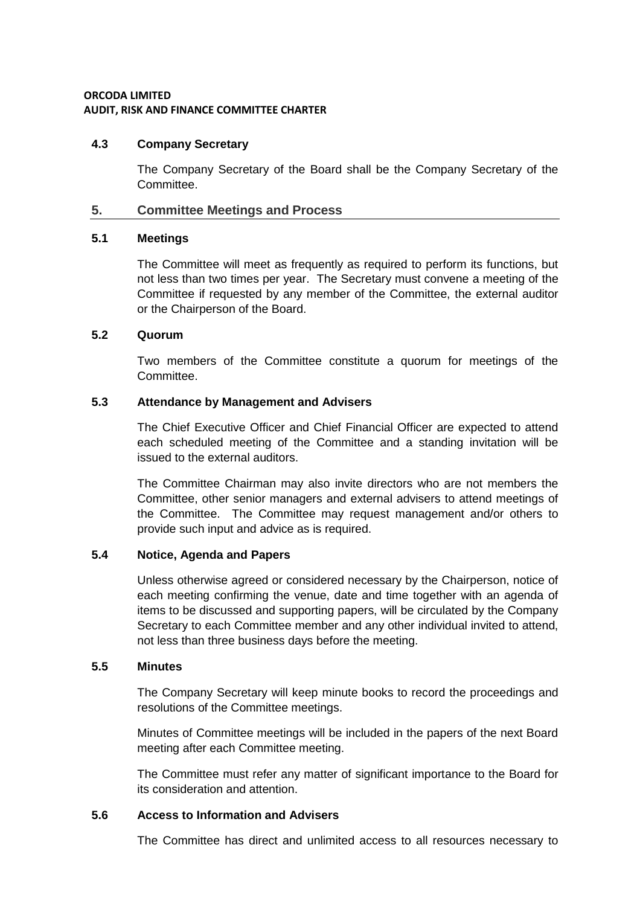### **4.3 Company Secretary**

The Company Secretary of the Board shall be the Company Secretary of the Committee.

## **5. Committee Meetings and Process**

### **5.1 Meetings**

The Committee will meet as frequently as required to perform its functions, but not less than two times per year. The Secretary must convene a meeting of the Committee if requested by any member of the Committee, the external auditor or the Chairperson of the Board.

### **5.2 Quorum**

Two members of the Committee constitute a quorum for meetings of the Committee.

### **5.3 Attendance by Management and Advisers**

The Chief Executive Officer and Chief Financial Officer are expected to attend each scheduled meeting of the Committee and a standing invitation will be issued to the external auditors.

The Committee Chairman may also invite directors who are not members the Committee, other senior managers and external advisers to attend meetings of the Committee. The Committee may request management and/or others to provide such input and advice as is required.

# **5.4 Notice, Agenda and Papers**

Unless otherwise agreed or considered necessary by the Chairperson, notice of each meeting confirming the venue, date and time together with an agenda of items to be discussed and supporting papers, will be circulated by the Company Secretary to each Committee member and any other individual invited to attend, not less than three business days before the meeting.

### **5.5 Minutes**

The Company Secretary will keep minute books to record the proceedings and resolutions of the Committee meetings.

Minutes of Committee meetings will be included in the papers of the next Board meeting after each Committee meeting.

The Committee must refer any matter of significant importance to the Board for its consideration and attention.

## **5.6 Access to Information and Advisers**

The Committee has direct and unlimited access to all resources necessary to